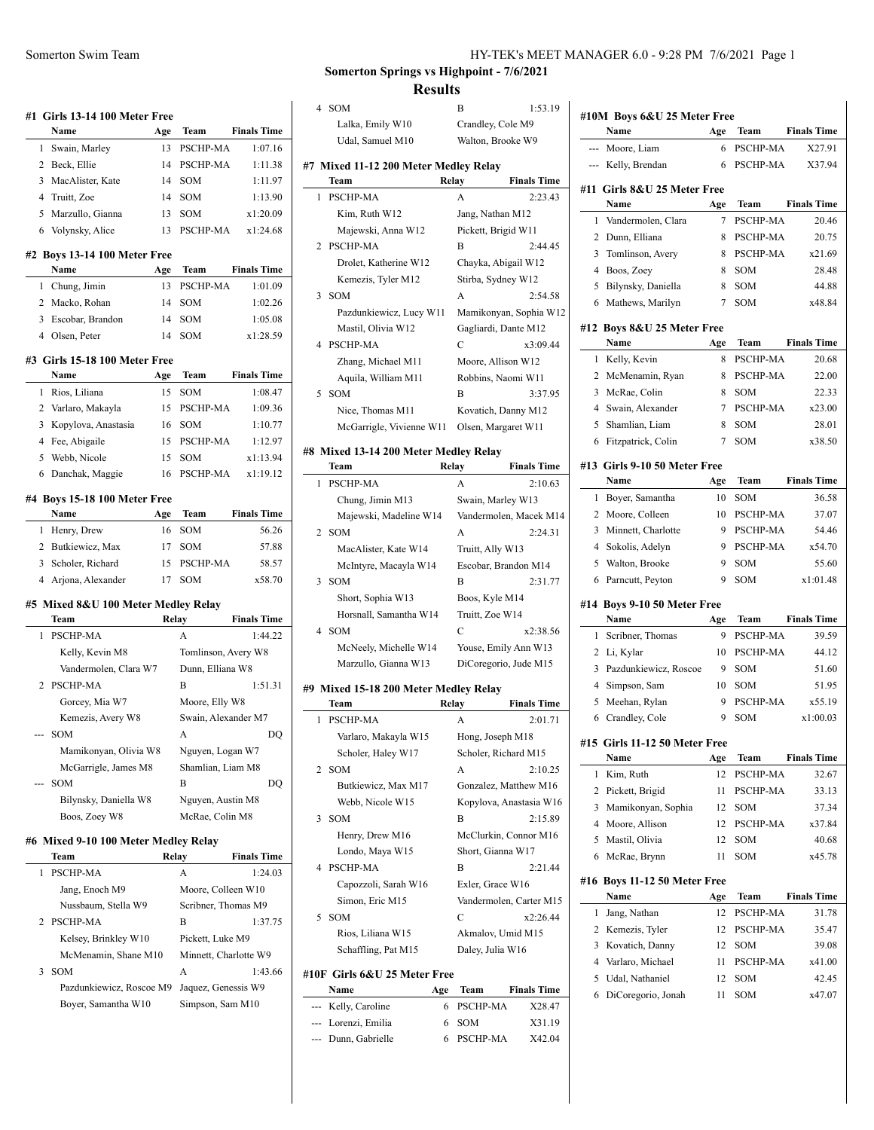|   | #1 Girls 13-14 100 Meter Free                       |       |                       |                     |
|---|-----------------------------------------------------|-------|-----------------------|---------------------|
|   | Name                                                | Age   | Team                  | <b>Finals Time</b>  |
| 1 | Swain, Marley                                       | 13    | PSCHP-MA              | 1:07.16             |
|   | 2 Beck, Ellie                                       | 14    | PSCHP-MA              | 1:11.38             |
| 3 | MacAlister, Kate                                    | 14    | SOM                   | 1:11.97             |
|   | 4 Truitt, Zoe                                       | 14    | SOM                   | 1:13.90             |
| 5 | Marzullo, Gianna                                    | 13    | SOM                   | x1:20.09            |
|   | 6 Volynsky, Alice                                   | 13    | PSCHP-MA              | x1:24.68            |
|   | #2 Boys 13-14 100 Meter Free<br>Name                | Age   | Team                  | <b>Finals Time</b>  |
|   | 1 Chung, Jimin                                      | 13    | PSCHP-MA              | 1:01.09             |
|   | 2 Macko, Rohan                                      | 14    | SOM                   | 1:02.26             |
|   | 3 Escobar, Brandon                                  | 14    | SOM                   | 1:05.08             |
|   | 4 Olsen, Peter                                      | 14    | <b>SOM</b>            | x1:28.59            |
|   | #3 Girls 15-18 100 Meter Free                       |       |                       |                     |
|   | Name                                                |       | Age Team              | <b>Finals Time</b>  |
|   | 1 Rios, Liliana                                     | 15    | SOM                   | 1:08.47             |
|   | 2 Varlaro, Makayla                                  |       | 15 PSCHP-MA           | 1:09.36             |
| 3 | Kopylova, Anastasia                                 | 16    | SOM                   | 1:10.77             |
|   | 4 Fee, Abigaile                                     |       | 15 PSCHP-MA           | 1:12.97             |
| 5 | Webb, Nicole                                        |       | 15 SOM                | x1:13.94            |
| 6 | Danchak, Maggie                                     | 16    | PSCHP-MA              | x1:19.12            |
|   | #4 Boys 15-18 100 Meter Free                        |       |                       |                     |
|   | Name                                                | Age   | Team                  | <b>Finals Time</b>  |
|   | 1 Henry, Drew                                       | 16    | SOM                   | 56.26               |
|   | 2 Butkiewicz, Max                                   | 17    | SOM                   | 57.88               |
|   | 3 Scholer, Richard                                  | 15    | PSCHP-MA              | 58.57               |
|   | 4 Arjona, Alexander                                 | 17    | SOM                   | x58.70              |
|   | #5 Mixed 8&U 100 Meter Medley Relay                 |       |                       |                     |
|   | Team                                                |       | Relay                 | <b>Finals Time</b>  |
| 1 | <b>PSCHP-MA</b>                                     |       | A                     | 1:44.22             |
|   | Kelly, Kevin M8                                     |       | Tomlinson, Avery W8   |                     |
|   | Vandermolen, Clara W7                               |       | Dunn, Elliana W8      |                     |
| 2 | <b>PSCHP-MA</b>                                     |       | В                     | 1:51.31             |
|   | Gorcey, Mia W7                                      |       | Moore, Elly W8        |                     |
|   | Kemezis, Avery W8                                   |       |                       | Swain, Alexander M7 |
|   | SOM                                                 |       | А                     | DQ                  |
|   | Mamikonyan, Olivia W8                               |       | Nguyen, Logan W7      |                     |
|   | McGarrigle, James M8                                |       | Shamlian, Liam M8     |                     |
|   | SOM                                                 |       | B                     | DQ                  |
|   | Bilynsky, Daniella W8                               |       | Nguyen, Austin M8     |                     |
|   | Boos, Zoey W8                                       |       | McRae, Colin M8       |                     |
|   | #6 Mixed 9-10 100 Meter Medley Relay                |       |                       |                     |
|   | Team                                                | Relay |                       | <b>Finals Time</b>  |
|   |                                                     |       | А                     | 1:24.03             |
| 1 | PSCHP-MA                                            |       |                       |                     |
|   | Jang, Enoch M9                                      |       | Moore, Colleen W10    |                     |
|   | Nussbaum, Stella W9                                 |       | Scribner, Thomas M9   |                     |
| 2 | PSCHP-MA                                            |       | B                     | 1:37.75             |
|   | Kelsey, Brinkley W10                                |       | Pickett, Luke M9      |                     |
|   | McMenamin, Shane M10                                |       | Minnett, Charlotte W9 |                     |
| 3 | SOM<br>Pazdunkiewicz, Roscoe M9 Jaquez, Genessis W9 |       | Α                     | 1:43.66             |

Boyer, Samantha W10 Simpson, Sam M10

# **Somerton Springs vs Highpoint - 7/6/2021 Results**

 $\overline{a}$ 

l.

 $\overline{a}$ 

J.

| 4              | SOM                                   |       | В                     | 1:53.19                 |
|----------------|---------------------------------------|-------|-----------------------|-------------------------|
|                | Lalka, Emily W10                      |       | Crandley, Cole M9     |                         |
|                | Udal, Samuel M10                      |       | Walton, Brooke W9     |                         |
|                |                                       |       |                       |                         |
|                | #7 Mixed 11-12 200 Meter Medley Relay |       |                       |                         |
|                | Team                                  | Relay |                       | <b>Finals Time</b>      |
| 1              | PSCHP-MA                              |       | A                     | 2:23.43                 |
|                | Kim, Ruth W12                         |       | Jang, Nathan M12      |                         |
|                | Majewski, Anna W12                    |       | Pickett, Brigid W11   |                         |
| 2              | PSCHP-MA                              |       | В                     | 2:44.45                 |
|                | Drolet, Katherine W12                 |       | Chayka, Abigail W12   |                         |
|                | Kemezis, Tyler M12                    |       | Stirba, Sydney W12    |                         |
| 3              | SOM                                   |       | A                     | 2:54.58                 |
|                | Pazdunkiewicz, Lucy W11               |       |                       | Mamikonyan, Sophia W12  |
|                | Mastil, Olivia W12                    |       | Gagliardi, Dante M12  |                         |
| $\overline{4}$ | PSCHP-MA                              |       | C                     | x3:09.44                |
|                | Zhang, Michael M11                    |       | Moore, Allison W12    |                         |
|                | Aquila, William M11                   |       | Robbins, Naomi W11    |                         |
| 5              | <b>SOM</b>                            |       | В                     | 3:37.95                 |
|                |                                       |       |                       |                         |
|                | Nice, Thomas M11                      |       | Kovatich, Danny M12   |                         |
|                | McGarrigle, Vivienne W11              |       | Olsen, Margaret W11   |                         |
|                | #8 Mixed 13-14 200 Meter Medley Relay |       |                       |                         |
|                | Team                                  | Relay |                       | <b>Finals Time</b>      |
| 1              | PSCHP-MA                              |       | A                     | 2:10.63                 |
|                | Chung, Jimin M13                      |       | Swain, Marley W13     |                         |
|                | Majewski, Madeline W14                |       |                       | Vandermolen, Macek M14  |
| 2              | <b>SOM</b>                            |       | A                     | 2:24.31                 |
|                | MacAlister, Kate W14                  |       | Truitt, Ally W13      |                         |
|                | McIntyre, Macayla W14                 |       | Escobar, Brandon M14  |                         |
| 3              | <b>SOM</b>                            |       | B                     | 2:31.77                 |
|                |                                       |       |                       |                         |
|                | Short, Sophia W13                     |       | Boos, Kyle M14        |                         |
|                | Horsnall, Samantha W14                |       | Truitt, Zoe W14       |                         |
| 4              | <b>SOM</b>                            |       | С                     | x2:38.56                |
|                | McNeely, Michelle W14                 |       | Youse, Emily Ann W13  |                         |
|                | Marzullo, Gianna W13                  |       | DiCoregorio, Jude M15 |                         |
|                | #9 Mixed 15-18 200 Meter Medley Relay |       |                       |                         |
|                | Team                                  | Relay |                       | <b>Finals Time</b>      |
| 1              | PSCHP-MA                              |       | A                     | 2:01.71                 |
|                | Varlaro, Makayla W15                  |       | Hong, Joseph M18      |                         |
|                | Scholer, Haley W17                    |       | Scholer, Richard M15  |                         |
| 2              | <b>SOM</b>                            |       | A                     | 2:10.25                 |
|                | Butkiewicz, Max M17                   |       | Gonzalez, Matthew M16 |                         |
|                | Webb, Nicole W15                      |       |                       | Kopylova, Anastasia W16 |
| 3              | <b>SOM</b>                            |       | B                     | 2:15.89                 |
|                |                                       |       |                       |                         |
|                | Henry, Drew M16                       |       | McClurkin, Connor M16 |                         |
|                | Londo, Maya W15                       |       | Short, Gianna W17     |                         |
| 4              | PSCHP-MA                              |       | B                     | 2:21.44                 |
|                | Capozzoli, Sarah W16                  |       | Exler, Grace W16      |                         |
|                | Simon, Eric M15                       |       |                       | Vandermolen, Carter M15 |
| 5              | <b>SOM</b>                            |       | C                     | x2:26.44                |
|                | Rios, Liliana W15                     |       | Akmalov, Umid M15     |                         |
|                | Schaffling, Pat M15                   |       | Daley, Julia W16      |                         |
|                |                                       |       |                       |                         |
|                | #10F Girls 6&U 25 Meter Free<br>Name  |       |                       |                         |
|                |                                       | Age   | Team                  | <b>Finals Time</b>      |
|                | Kelly, Caroline                       | 6     | PSCHP-MA              | X28.47                  |
|                | --- Lorenzi, Emilia                   | 6     | SOM                   | X31.19                  |
|                | Dunn, Gabrielle                       | 6     | PSCHP-MA              | X42.04                  |

|        | Name                                  | Age      | Team            | <b>Finals Time</b> |
|--------|---------------------------------------|----------|-----------------|--------------------|
|        | --- Moore, Liam                       | 6        | PSCHP-MA        | X27.91             |
| $-$    | Kelly, Brendan                        | 6        | <b>PSCHP-MA</b> | X37.94             |
|        | #11 Girls 8&U 25 Meter Free           |          |                 |                    |
|        | Name                                  | Age      | Team            | <b>Finals Time</b> |
| 1      | Vandermolen, Clara                    | 7        | PSCHP-MA        | 20.46              |
| 2      | Dunn, Elliana                         | 8        | PSCHP-MA        | 20.75              |
| 3      | Tomlinson, Avery                      | 8        | <b>PSCHP-MA</b> | x21.69             |
| 4      | Boos, Zoey                            | 8        | <b>SOM</b>      | 28.48              |
| 5      | Bilynsky, Daniella                    | 8        | <b>SOM</b>      | 44.88              |
| 6      | Mathews, Marilyn                      | 7        | <b>SOM</b>      | x48.84             |
|        |                                       |          |                 |                    |
|        | #12 Boys 8&U 25 Meter Free            |          |                 |                    |
|        | Name                                  | Age      | Team            | <b>Finals Time</b> |
| 1      | Kelly, Kevin                          | 8        | PSCHP-MA        | 20.68              |
| 2      | McMenamin, Ryan                       | 8        | <b>PSCHP-MA</b> | 22.00              |
| 3      | McRae, Colin                          | 8        | <b>SOM</b>      | 22.33              |
| 4      | Swain, Alexander                      | 7        | PSCHP-MA        | x23.00             |
| 5      | Shamlian, Liam                        | 8        | <b>SOM</b>      | 28.01              |
| 6      | Fitzpatrick, Colin                    | 7        | <b>SOM</b>      | x38.50             |
|        | #13 Girls 9-10 50 Meter Free          |          |                 |                    |
|        | Name                                  | Age      | Team            | <b>Finals Time</b> |
| 1      | Boyer, Samantha                       | 10       | SOM             | 36.58              |
| 2      | Moore, Colleen                        | 10       | <b>PSCHP-MA</b> | 37.07              |
| 3      | Minnett, Charlotte                    | 9        | <b>PSCHP-MA</b> | 54.46              |
| 4      | Sokolis, Adelyn                       | 9        | <b>PSCHP-MA</b> | x54.70             |
| 5      | Walton, Brooke                        | 9        | <b>SOM</b>      | 55.60              |
| 6      | Parncutt, Peyton                      | 9        | <b>SOM</b>      | x1:01.48           |
|        | #14 Boys 9-10 50 Meter Free           |          |                 |                    |
|        | Name                                  | Age      | Team            | <b>Finals Time</b> |
| 1      | Scribner, Thomas                      | 9        | PSCHP-MA        | 39.59              |
| 2      | Li, Kylar                             | 10       | PSCHP-MA        | 44.12              |
| 3      | Pazdunkiewicz, Roscoe                 | 9        | <b>SOM</b>      | 51.60              |
| 4      | Simpson, Sam                          | 10       | <b>SOM</b>      | 51.95              |
| 5      | Meehan, Rylan                         | 9        | <b>PSCHP-MA</b> | x55.19             |
| 6      | Crandley, Cole                        | 9        | <b>SOM</b>      | x1:00.03           |
|        | #15 Girls 11-12 50 Meter Free         |          |                 |                    |
|        | Name                                  | Age      | Team            | <b>Finals Time</b> |
| 1      | Kim, Ruth                             | 12       | PSCHP-MA        | 32.67              |
| 2      | Pickett, Brigid                       | 11       | PSCHP-MA        | 33.13              |
| 3      | Mamikonyan, Sophia                    | 12       | SOM             | 37.34              |
| 4      | Moore, Allison                        | 12       | PSCHP-MA        | x37.84             |
| 5      | Mastil, Olivia                        | 12       | SOM             | 40.68              |
| 6      | McRae, Brynn                          | 11       | SOM             | x45.78             |
|        |                                       |          |                 |                    |
|        | #16 Boys 11-12 50 Meter Free          |          |                 |                    |
|        | Name                                  | Age      | <b>Team</b>     | <b>Finals Time</b> |
| 1      | Jang, Nathan                          | 12       | PSCHP-MA        | 31.78              |
| 2      | Kemezis, Tyler                        | 12       | PSCHP-MA        | 35.47              |
| 3      | Kovatich, Danny                       | 12       | SOM             | 39.08              |
|        | Varlaro, Michael                      | 11       | PSCHP-MA        | x41.00             |
| 4      |                                       |          |                 |                    |
| 5<br>6 | Udal, Nathaniel<br>DiCoregorio, Jonah | 12<br>11 | SOM<br>SOM      | 42.45<br>x47.07    |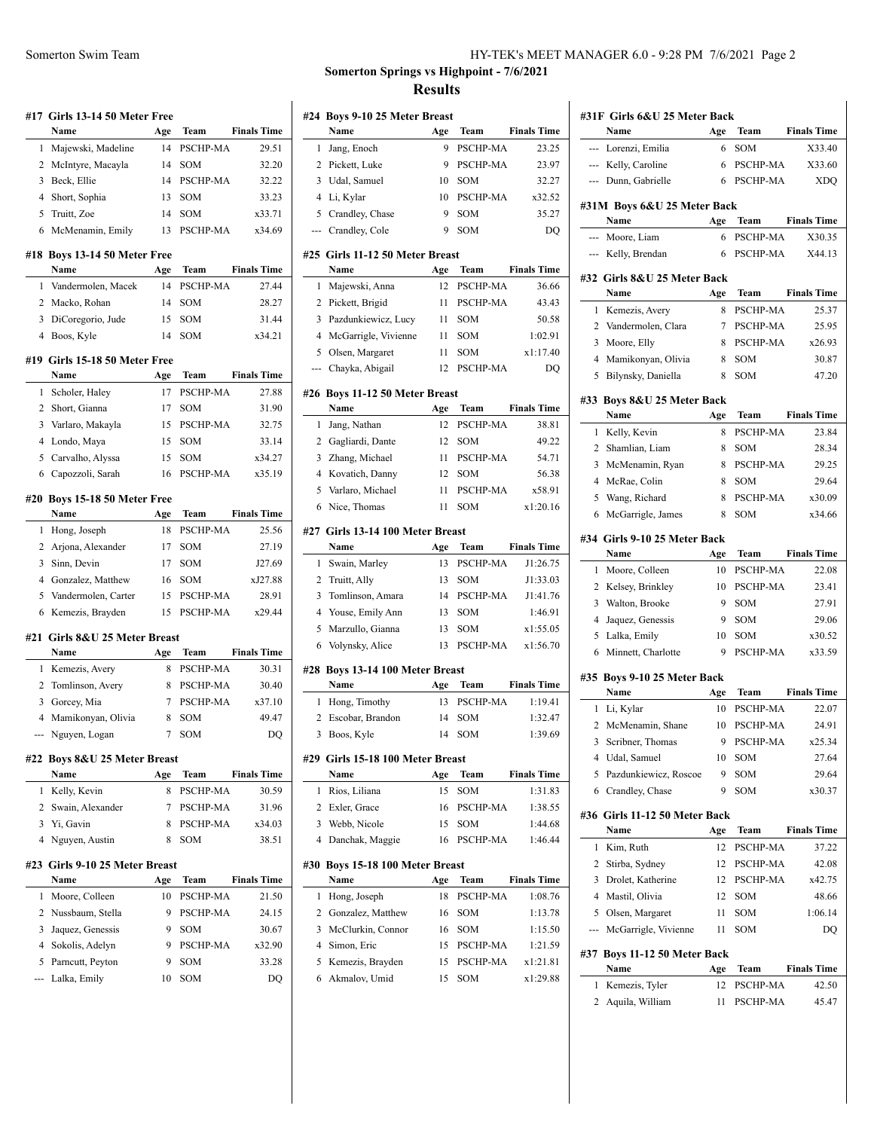|   | #17 Girls 13-14 50 Meter Free<br>Name | Age | Team            | <b>Finals Time</b> |
|---|---------------------------------------|-----|-----------------|--------------------|
| 1 | Majewski, Madeline                    | 14  | PSCHP-MA        | 29.51              |
|   | 2 McIntyre, Macayla                   | 14  | SOM             | 32.20              |
|   | 3 Beck, Ellie                         | 14  | PSCHP-MA        |                    |
|   | 4 Short, Sophia                       | 13  | SOM             | 32.22<br>33.23     |
|   |                                       |     | <b>SOM</b>      |                    |
|   | 5 Truitt, Zoe                         | 14  |                 | x33.71             |
| 6 | McMenamin, Emily                      | 13  | PSCHP-MA        | x34.69             |
|   | #18 Boys 13-14 50 Meter Free          |     |                 |                    |
|   | Name                                  | Age | Team            | <b>Finals Time</b> |
| 1 | Vandermolen, Macek                    | 14  | PSCHP-MA        | 27.44              |
|   | 2 Macko, Rohan                        | 14  | SOM             | 28.27              |
|   | 3 DiCoregorio, Jude                   | 15  | SOM             | 31.44              |
|   | 4 Boos, Kyle                          | 14  | SOM             | x34.21             |
|   | #19 Girls 15-18 50 Meter Free         |     |                 |                    |
|   | Name                                  | Age | Team            | <b>Finals Time</b> |
| 1 | Scholer, Haley                        | 17  | PSCHP-MA        | 27.88              |
|   | 2 Short, Gianna                       | 17  | <b>SOM</b>      | 31.90              |
|   | 3 Varlaro, Makayla                    | 15  | PSCHP-MA        | 32.75              |
|   | 4 Londo, Maya                         | 15  | <b>SOM</b>      | 33.14              |
|   | 5 Carvalho, Alyssa                    | 15  | SOM             | x34.27             |
|   | 6 Capozzoli, Sarah                    | 16  | PSCHP-MA        | x35.19             |
|   | #20 Boys 15-18 50 Meter Free          |     |                 |                    |
|   | Name                                  | Age | Team            | <b>Finals Time</b> |
| 1 | Hong, Joseph                          | 18  | PSCHP-MA        | 25.56              |
|   | 2 Arjona, Alexander                   | 17  | <b>SOM</b>      | 27.19              |
|   | 3 Sinn, Devin                         | 17  | SOM             | J27.69             |
|   | 4 Gonzalez, Matthew                   | 16  | SOM             | xJ27.88            |
|   | 5 Vandermolen, Carter                 | 15  | PSCHP-MA        | 28.91              |
|   | 6 Kemezis, Brayden                    | 15  | PSCHP-MA        | x29.44             |
|   |                                       |     |                 |                    |
|   | #21 Girls 8&U 25 Meter Breast<br>Name |     |                 | <b>Finals Time</b> |
|   |                                       | Age | Team            |                    |
| 1 | Kemezis, Avery                        | 8   | PSCHP-MA        | 30.31              |
|   | 2 Tomlinson, Avery                    | 8   | PSCHP-MA        | 30.40              |
|   | 3 Gorcey, Mia                         | 7   | <b>PSCHP-MA</b> | x37.10             |
|   | 4 Mamikonyan, Olivia                  | 8   | SOM             | 49.47              |
|   | Nguyen, Logan                         |     | 7 SOM           | DQ                 |
|   | #22 Boys 8&U 25 Meter Breast          |     |                 |                    |
|   | Name                                  | Age | <b>Team</b>     | <b>Finals Time</b> |
| 1 | Kelly, Kevin                          | 8   | PSCHP-MA        | 30.59              |
|   | 2 Swain, Alexander                    | 7   | PSCHP-MA        | 31.96              |
|   | 3 Yi, Gavin                           | 8   | PSCHP-MA        | x34.03             |
|   |                                       |     | SOM             | 38.51              |
|   | 4 Nguyen, Austin                      | 8   |                 |                    |
|   | #23 Girls 9-10 25 Meter Breast        |     |                 |                    |
|   | Name                                  | Age | <b>Team</b>     | <b>Finals Time</b> |
| 1 | Moore, Colleen                        | 10  | PSCHP-MA        |                    |
|   | 2 Nussbaum, Stella                    | 9   | PSCHP-MA        | 21.50<br>24.15     |
| 3 | Jaquez, Genessis                      | 9   | SOM             | 30.67              |
|   | 4 Sokolis, Adelyn                     | 9   | PSCHP-MA        | x32.90             |
|   | 5 Parncutt, Peyton                    | 9   | SOM             | 33.28              |

### Somerton Swim Team Fram HY-TEK's MEET MANAGER 6.0 - 9:28 PM 7/6/2021 Page 2

# **Somerton Springs vs Highpoint - 7/6/2021 Results**

|                | #24 Boys 9-10 25 Meter Breast           |           |                 |                                                                                                                                                                                  |
|----------------|-----------------------------------------|-----------|-----------------|----------------------------------------------------------------------------------------------------------------------------------------------------------------------------------|
|                | Name                                    | Age       | Team            | <b>Finals Time</b>                                                                                                                                                               |
| 1              | Jang, Enoch                             | 9         | PSCHP-MA        | 23.25                                                                                                                                                                            |
|                | 2 Pickett, Luke                         | 9         | PSCHP-MA        | 23.97                                                                                                                                                                            |
|                | 3 Udal, Samuel                          | 10        | SOM             | 32.27                                                                                                                                                                            |
|                | 4 Li, Kylar                             | 10        | PSCHP-MA        | x32.52                                                                                                                                                                           |
|                | 5 Crandley, Chase                       | 9         | SOM             | 35.27                                                                                                                                                                            |
|                | --- Crandley, Cole                      | 9         | <b>SOM</b>      | DQ                                                                                                                                                                               |
|                | #25 Girls 11-12 50 Meter Breast<br>Name |           | Team            | <b>Finals Time</b>                                                                                                                                                               |
| 1              |                                         | Age<br>12 | <b>PSCHP-MA</b> | 36.66                                                                                                                                                                            |
|                | Majewski, Anna                          |           |                 |                                                                                                                                                                                  |
| 2              | Pickett, Brigid                         | 11        | PSCHP-MA        | 43.43                                                                                                                                                                            |
| 3              | Pazdunkiewicz, Lucy                     | 11        | SOM             | 50.58                                                                                                                                                                            |
|                | 4 McGarrigle, Vivienne                  | 11        | SOM             | 1:02.91                                                                                                                                                                          |
| 5              | Olsen, Margaret                         | 11        | SOM             | x1:17.40                                                                                                                                                                         |
| ---            | Chayka, Abigail                         | 12        | PSCHP-MA        | DQ                                                                                                                                                                               |
|                | #26 Boys 11-12 50 Meter Breast<br>Name  |           | Team            | <b>Finals Time</b>                                                                                                                                                               |
| 1              |                                         | Age       | PSCHP-MA        | 38.81                                                                                                                                                                            |
|                | Jang, Nathan                            | 12        |                 |                                                                                                                                                                                  |
|                | 2 Gagliardi, Dante                      | 12        | SOM             | 49.22                                                                                                                                                                            |
|                | 3 Zhang, Michael                        | 11        | PSCHP-MA        | 54.71                                                                                                                                                                            |
| 4              | Kovatich, Danny                         | 12        | SOM             | 56.38                                                                                                                                                                            |
|                | 5 Varlaro, Michael                      | 11        | PSCHP-MA        | x58.91                                                                                                                                                                           |
| 6              | Nice, Thomas                            | 11        | SOM             | x1:20.16                                                                                                                                                                         |
|                | #27 Girls 13-14 100 Meter Breast        |           |                 |                                                                                                                                                                                  |
|                | Name                                    | Age       | Team            | <b>Finals Time</b>                                                                                                                                                               |
| 1              | Swain, Marley                           | 13        | PSCHP-MA        | J1:26.75                                                                                                                                                                         |
|                |                                         |           |                 |                                                                                                                                                                                  |
| $\overline{2}$ | Truitt, Ally                            | 13        | SOM             |                                                                                                                                                                                  |
| 3              | Tomlinson, Amara                        | 14        | <b>PSCHP-MA</b> |                                                                                                                                                                                  |
| 4              | Youse, Emily Ann                        | 13        | SOM             |                                                                                                                                                                                  |
| 5              | Marzullo, Gianna                        | 13        | SOM             |                                                                                                                                                                                  |
| 6              | Volynsky, Alice                         | 13        | PSCHP-MA        |                                                                                                                                                                                  |
|                | #28 Boys 13-14 100 Meter Breast         |           |                 |                                                                                                                                                                                  |
|                | Name                                    | Age       | Team            |                                                                                                                                                                                  |
| 1              | Hong, Timothy                           | 13        | <b>PSCHP-MA</b> |                                                                                                                                                                                  |
| 2              | Escobar, Brandon                        | 14        | SOM             |                                                                                                                                                                                  |
|                | 3 Boos, Kyle                            |           | 14 SOM          |                                                                                                                                                                                  |
|                | #29 Girls 15-18 100 Meter Breast        |           |                 |                                                                                                                                                                                  |
|                | Name                                    | Age       | Team            |                                                                                                                                                                                  |
| $\mathbf{1}$   | Rios, Liliana                           | 15        | SOM             |                                                                                                                                                                                  |
|                | 2 Exler, Grace                          | 16        | PSCHP-MA        |                                                                                                                                                                                  |
|                | 3 Webb, Nicole                          | 15        | SOM             |                                                                                                                                                                                  |
|                | 4 Danchak, Maggie                       | 16        | PSCHP-MA        | J1:33.03<br>J1:41.76<br>1:46.91<br>x1:55.05<br>x1:56.70<br><b>Finals Time</b><br>1:19.41<br>1:32.47<br>1:39.69<br><b>Finals Time</b><br>1:31.83<br>1:38.55<br>1:44.68<br>1:46.44 |
|                | #30 Boys 15-18 100 Meter Breast         |           |                 |                                                                                                                                                                                  |
|                | Name                                    | Age       | Team            |                                                                                                                                                                                  |
| 1              | Hong, Joseph                            | 18        | PSCHP-MA        |                                                                                                                                                                                  |
|                | 2 Gonzalez, Matthew                     | 16        | SOM             |                                                                                                                                                                                  |
|                | 3 McClurkin, Connor                     | 16        | SOM             |                                                                                                                                                                                  |
|                | 4 Simon, Eric                           | 15        | PSCHP-MA        |                                                                                                                                                                                  |
|                | 5 Kemezis, Brayden                      | 15        | PSCHP-MA        | <b>Finals Time</b><br>1:08.76<br>1:13.78<br>1:15.50<br>1:21.59<br>x1:21.81                                                                                                       |

| #31F Girls 6&U 25 Meter Back |                                     |          |                 |                    |  |
|------------------------------|-------------------------------------|----------|-----------------|--------------------|--|
|                              | Name                                | Age      | Team            | <b>Finals Time</b> |  |
| ---                          | Lorenzi, Emilia                     | 6        | SOM             | X33.40             |  |
|                              | --- Kelly, Caroline                 | 6        | <b>PSCHP-MA</b> | X33.60             |  |
|                              | --- Dunn, Gabrielle                 | 6        | <b>PSCHP-MA</b> | XDQ                |  |
|                              | #31M Boys 6&U 25 Meter Back         |          |                 |                    |  |
|                              | Name                                | Age      | Team            | <b>Finals Time</b> |  |
|                              | --- Moore, Liam                     | 6        | PSCHP-MA        | X30.35             |  |
|                              | --- Kelly, Brendan                  | 6        | PSCHP-MA        | X44.13             |  |
|                              |                                     |          |                 |                    |  |
|                              | #32 Girls 8&U 25 Meter Back<br>Name | Age      | Team            | <b>Finals Time</b> |  |
| 1                            | Kemezis, Avery                      | 8        | PSCHP-MA        | 25.37              |  |
| 2                            | Vandermolen, Clara                  | 7        | <b>PSCHP-MA</b> | 25.95              |  |
| 3                            | Moore, Elly                         | 8        | PSCHP-MA        | x26.93             |  |
|                              |                                     |          |                 |                    |  |
| 4                            | Mamikonyan, Olivia                  | 8        | SOM             | 30.87              |  |
| 5                            | Bilynsky, Daniella                  | 8        | SOM             | 47.20              |  |
|                              | #33 Boys 8&U 25 Meter Back          |          |                 |                    |  |
|                              | Name                                | Age      | Team            | <b>Finals Time</b> |  |
| 1                            | Kelly, Kevin                        | 8        | PSCHP-MA        | 23.84              |  |
|                              | 2 Shamlian, Liam                    | 8        | SOM             | 28.34              |  |
| 3                            | McMenamin, Ryan                     | 8        | PSCHP-MA        | 29.25              |  |
| $\overline{4}$               | McRae, Colin                        | 8        | SOM             | 29.64              |  |
| 5                            | Wang, Richard                       | 8        | PSCHP-MA        | x30.09             |  |
| 6                            | McGarrigle, James                   | 8        | SOM             | x34.66             |  |
|                              | #34 Girls 9-10 25 Meter Back        |          |                 |                    |  |
|                              | Name                                | Age      | Team            | <b>Finals Time</b> |  |
| 1                            | Moore, Colleen                      | 10       | PSCHP-MA        | 22.08              |  |
| 2                            | Kelsey, Brinkley                    | 10       | PSCHP-MA        | 23.41              |  |
| 3                            | Walton, Brooke                      | 9        | SOM             | 27.91              |  |
| 4                            | Jaquez, Genessis                    | 9        | SOM             | 29.06              |  |
| 5                            | Lalka, Emily                        | 10       | SOM             | x30.52             |  |
| 6                            | Minnett, Charlotte                  | 9        | PSCHP-MA        | x33.59             |  |
|                              |                                     |          |                 |                    |  |
|                              | #35 Boys 9-10 25 Meter Back         |          |                 |                    |  |
|                              | Name                                | Age      | Team            | <b>Finals Time</b> |  |
| 1                            | Li, Kylar                           | 10       | PSCHP-MA        | 22.07              |  |
| 2                            | McMenamin, Shane                    | 10       | PSCHP-MA        | 24.91              |  |
| 3                            | Scribner, Thomas                    | 9        | PSCHP-MA        | x25.34             |  |
| 4                            | Udal, Samuel                        | 10       | SOM             | 27.64              |  |
| 5                            | Pazdunkiewicz, Roscoe               | 9        | SOM             | 29.64              |  |
|                              | 6 Crandley, Chase                   | 9        | SOM             | x30.37             |  |
|                              | #36 Girls 11-12 50 Meter Back       |          |                 |                    |  |
|                              | Name                                | Age      | Team            | <b>Finals Time</b> |  |
| 1                            | Kim, Ruth                           | 12       | PSCHP-MA        | 37.22              |  |
| 2                            | Stirba, Sydney                      | 12       | PSCHP-MA        | 42.08              |  |
| 3                            | Drolet, Katherine                   |          | 12 PSCHP-MA     | x42.75             |  |
|                              |                                     |          |                 |                    |  |
|                              | 4 Mastil, Olivia                    |          | 12 SOM          | 48.66<br>1:06.14   |  |
|                              | 5 Olsen, Margaret                   | 11<br>11 | SOM<br>SOM      |                    |  |
| ---                          | McGarrigle, Vivienne                |          |                 | DQ                 |  |
|                              | #37 Boys 11-12 50 Meter Back        |          |                 |                    |  |
|                              | Name                                | Age      | Team            | <b>Finals Time</b> |  |
| 1                            | Kemezis, Tyler                      | 12       | PSCHP-MA        | 42.50              |  |
| 2                            | Aquila, William                     | 11       | PSCHP-MA        | 45.47              |  |
|                              |                                     |          |                 |                    |  |
|                              |                                     |          |                 |                    |  |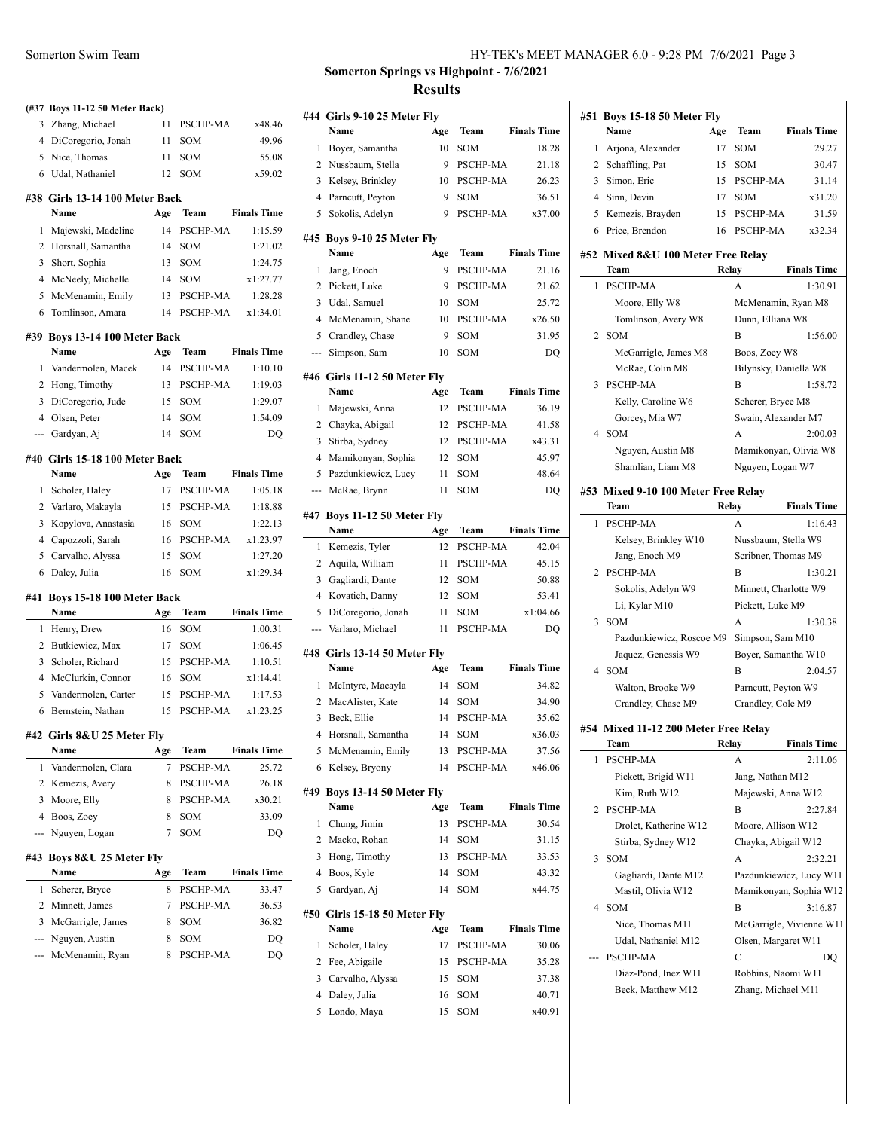|     | (#37 Boys 11-12 50 Meter Back)   |           |                 |                               |
|-----|----------------------------------|-----------|-----------------|-------------------------------|
| 3   | Zhang, Michael                   | 11        | PSCHP-MA        | x48.46                        |
|     | 4 DiCoregorio, Jonah             | 11        | SOM             | 49.96                         |
|     | 5 Nice, Thomas                   | 11        | <b>SOM</b>      | 55.08                         |
|     | 6 Udal, Nathaniel                | 12        | SOM             | x59.02                        |
|     | #38 Girls 13-14 100 Meter Back   |           |                 |                               |
|     | Name                             | Age       | Team            | <b>Finals Time</b>            |
| 1   | Majewski, Madeline               | 14        | PSCHP-MA        | 1:15.59                       |
| 2   | Horsnall, Samantha               | 14        | SOM             | 1:21.02                       |
| 3   | Short, Sophia                    | 13        | SOM             | 1:24.75                       |
| 4   | McNeely, Michelle                | 14        | SOM             | x1:27.77                      |
| 5   | McMenamin, Emily                 | 13        | PSCHP-MA        | 1:28.28                       |
| 6   | Tomlinson, Amara                 | 14        | <b>PSCHP-MA</b> | x1:34.01                      |
|     | #39 Boys 13-14 100 Meter Back    |           |                 |                               |
|     | Name                             | Age       | Team            | <b>Finals Time</b>            |
| 1   | Vandermolen, Macek               | 14        | PSCHP-MA        | 1:10.10                       |
| 2   | Hong, Timothy                    | 13        | PSCHP-MA        | 1:19.03                       |
| 3   | DiCoregorio, Jude                | 15        | <b>SOM</b>      | 1:29.07                       |
|     | 4 Olsen, Peter                   | 14        | SOM             | 1:54.09                       |
| --- | Gardyan, Aj                      | 14        | SOM             | DO                            |
|     | #40 Girls 15-18 100 Meter Back   |           |                 |                               |
|     | Name                             | Age       | Team            | <b>Finals Time</b>            |
| 1   | Scholer, Haley                   | 17        | PSCHP-MA        | 1:05.18                       |
|     | 2 Varlaro, Makayla               | 15        | <b>PSCHP-MA</b> | 1:18.88                       |
| 3   | Kopylova, Anastasia              | 16        | <b>SOM</b>      | 1:22.13                       |
| 4   | Capozzoli, Sarah                 | 16        | <b>PSCHP-MA</b> | x1:23.97                      |
| 5   |                                  | 15        | SOM             | 1:27.20                       |
| 6   | Carvalho, Alyssa<br>Daley, Julia | 16        | SOM             | x1:29.34                      |
|     |                                  |           |                 |                               |
| #41 | Boys 15-18 100 Meter Back        |           |                 |                               |
| 1   | Name                             | Age<br>16 | Team<br>SOM     | <b>Finals Time</b><br>1:00.31 |
|     | Henry, Drew                      |           |                 | 1:06.45                       |
| 2   | Butkiewicz, Max                  | 17        | <b>SOM</b>      |                               |
| 3   | Scholer, Richard                 | 15        | PSCHP-MA        | 1:10.51                       |
| 4   | McClurkin, Connor                | 16        | <b>SOM</b>      | x1:14.41                      |
| 5   | Vandermolen, Carter              | 15        | <b>PSCHP-MA</b> | 1:17.53                       |
| 6   | Bernstein, Nathan                | 15        | <b>PSCHP-MA</b> | x1:23.25                      |
| #42 | Girls 8&U 25 Meter Fly           |           |                 |                               |
|     | Name                             | Age       | Team            | <b>Finals Time</b>            |
| 1   | Vandermolen, Clara               | 7         | PSCHP-MA        | 25.72                         |
| 2   | Kemezis, Avery                   | 8         | PSCHP-MA        | 26.18                         |
| 3   | Moore, Elly                      | 8         | PSCHP-MA        | x30.21                        |
| 4   | Boos, Zoey                       | 8         | SOM             | 33.09                         |
| --- | Nguyen, Logan                    | 7         | SOM             | DO                            |
| #43 | Boys 8&U 25 Meter Fly            |           |                 |                               |
|     | Name                             | Age       | Team            | <b>Finals Time</b>            |
| 1   | Scherer, Bryce                   | 8         | PSCHP-MA        | 33.47                         |
| 2   | Minnett, James                   | 7         | PSCHP-MA        | 36.53                         |
| 3   | McGarrigle, James                | 8         | SOM             | 36.82                         |
| --- | Nguyen, Austin                   | 8         | SOM             | DQ                            |
|     | McMenamin, Ryan                  | 8         | PSCHP-MA        | DQ                            |

# **Somerton Springs vs Highpoint - 7/6/2021 Results**

| #44            | Girls 9-10 25 Meter Fly              |         |                   |                    |
|----------------|--------------------------------------|---------|-------------------|--------------------|
|                | Name                                 | Age     | Team              | <b>Finals Time</b> |
| 1              | Boyer, Samantha                      | 10      | SOM               | 18.28              |
| 2              | Nussbaum, Stella                     | 9       | PSCHP-MA          | 21.18              |
| 3              | Kelsey, Brinkley                     | 10      | PSCHP-MA          | 26.23              |
| $\overline{4}$ | Parncutt, Peyton                     | 9       | SOM               | 36.51              |
| 5              | Sokolis, Adelyn                      | 9       | PSCHP-MA          | x37.00             |
|                | #45 Boys 9-10 25 Meter Fly<br>Name   | Age     | Team              | <b>Finals Time</b> |
| 1              | Jang, Enoch                          | 9       | PSCHP-MA          | 21.16              |
| 2              | Pickett, Luke                        | 9       | PSCHP-MA          | 21.62              |
| 3              |                                      |         | <b>SOM</b>        | 25.72              |
| $\overline{4}$ | Udal, Samuel                         | 10      | PSCHP-MA          | x26.50             |
|                | McMenamin, Shane                     | 10      |                   |                    |
| 5<br>---       | Crandley, Chase<br>Simpson, Sam      | 9<br>10 | SOM<br><b>SOM</b> | 31.95<br>DQ        |
|                |                                      |         |                   |                    |
|                | #46 Girls 11-12 50 Meter Fly<br>Name | Age     | Team              | <b>Finals Time</b> |
| 1              | Majewski, Anna                       | 12      | PSCHP-MA          | 36.19              |
| 2              | Chayka, Abigail                      | 12      | PSCHP-MA          | 41.58              |
| 3              | Stirba, Sydney                       | 12      | PSCHP-MA          | x43.31             |
| $\overline{4}$ |                                      |         | SOM               | 45.97              |
|                | Mamikonyan, Sophia                   | 12      |                   |                    |
| 5              | Pazdunkiewicz, Lucy                  | 11      | SOM               | 48.64              |
| ---            | McRae, Brynn                         | 11      | SOM               | DQ                 |
|                | #47 Boys 11-12 50 Meter Fly          |         |                   |                    |
|                | Name                                 | Age     | Team              | <b>Finals Time</b> |
| 1              | Kemezis, Tyler                       | 12      | PSCHP-MA          | 42.04              |
| 2              | Aquila, William                      | 11      | PSCHP-MA          | 45.15              |
| 3              | Gagliardi, Dante                     | 12      | SOM               | 50.88              |
| $\overline{4}$ | Kovatich, Danny                      | 12      | SOM               | 53.41              |
| 5              | DiCoregorio, Jonah                   | 11      | SOM               | x1:04.66           |
| ---            | Varlaro, Michael                     | 11      | PSCHP-MA          | DQ                 |
|                | #48 Girls 13-14 50 Meter Fly         |         |                   |                    |
|                | Name                                 | Age     | Team              | <b>Finals Time</b> |
| 1              | McIntyre, Macayla                    | 14      | SOM               | 34.82              |
| 2              | MacAlister, Kate                     | 14      | <b>SOM</b>        | 34.90              |
| 3              | Beck, Ellie                          | 14      | PSCHP-MA          | 35.62              |
| 4              | Horsnall, Samantha                   | 14      | SOM               | x36.03             |
|                | 5 McMenamin, Emily                   | 13      | PSCHP-MA          | 37.56              |
| 6              | Kelsey, Bryony                       | 14      | PSCHP-MA          | x46.06             |
| #49            | Boys 13-14 50 Meter Fly              |         |                   |                    |
|                | Name                                 | Age     | Team              | <b>Finals Time</b> |
| 1              | Chung, Jimin                         | 13      | PSCHP-MA          | 30.54              |
| 2              | Macko, Rohan                         | 14      | SOM               | 31.15              |
| 3              | Hong, Timothy                        | 13      | PSCHP-MA          | 33.53              |
| $\overline{4}$ | Boos, Kyle                           | 14      | SOM               | 43.32              |
| 5              | Gardyan, Aj                          | 14      | SOM               | x44.75             |
|                | #50 Girls 15-18 50 Meter Fly         |         |                   |                    |
|                | Name                                 | Age     | Team              | <b>Finals Time</b> |
| 1              | Scholer, Haley                       | 17      | PSCHP-MA          | 30.06              |
| 2              | Fee, Abigaile                        | 15      | PSCHP-MA          | 35.28              |
| 3              | Carvalho, Alyssa                     | 15      | SOM               | 37.38              |
| 4              | Daley, Julia                         | 16      | SOM               | 40.71              |
| 5              | Londo, Maya                          | 15      | SOM               | x40.91             |

| #51 | Boys 15-18 50 Meter Fly                    |       |                                           |                             |
|-----|--------------------------------------------|-------|-------------------------------------------|-----------------------------|
| 1   | Name                                       | Age   | Team<br>SOM                               | <b>Finals Time</b><br>29.27 |
| 2   | Arjona, Alexander                          | 17    |                                           |                             |
| 3   | Schaffling, Pat<br>Simon, Eric             | 15    | SOM<br>PSCHP-MA                           | 30.47                       |
|     |                                            | 15    | SOM                                       | 31.14                       |
|     | 4 Sinn, Devin                              | 17    |                                           | x31.20                      |
| 5   | Kemezis, Brayden                           | 15    | PSCHP-MA                                  | 31.59                       |
| 6   | Price, Brendon                             | 16    | PSCHP-MA                                  | x32.34                      |
|     | #52 Mixed 8&U 100 Meter Free Relay<br>Team | Relay |                                           | <b>Finals Time</b>          |
| 1   | PSCHP-MA                                   |       | А                                         | 1:30.91                     |
|     | Moore, Elly W8                             |       | McMenamin, Ryan M8                        |                             |
|     | Tomlinson, Avery W8                        |       | Dunn, Elliana W8                          |                             |
| 2   | SOM                                        |       | B                                         | 1:56.00                     |
|     | McGarrigle, James M8                       |       | Boos, Zoey W8                             |                             |
|     | McRae, Colin M8                            |       | Bilynsky, Daniella W8                     |                             |
| 3   | PSCHP-MA                                   |       | B                                         | 1:58.72                     |
|     | Kelly, Caroline W6                         |       | Scherer, Bryce M8                         |                             |
|     | Gorcey, Mia W7                             |       | Swain, Alexander M7                       |                             |
| 4   | <b>SOM</b>                                 |       | A                                         | 2:00.03                     |
|     | Nguyen, Austin M8                          |       |                                           | Mamikonyan, Olivia W8       |
|     | Shamlian, Liam M8                          |       | Nguyen, Logan W7                          |                             |
|     |                                            |       |                                           |                             |
|     | #53 Mixed 9-10 100 Meter Free Relay        |       |                                           |                             |
|     | Team                                       |       | Relay                                     | <b>Finals Time</b>          |
| 1   | PSCHP-MA                                   |       | А                                         | 1:16.43                     |
|     | Kelsey, Brinkley W10                       |       | Nussbaum, Stella W9                       |                             |
|     | Jang, Enoch M9                             |       | Scribner, Thomas M9                       |                             |
| 2   | <b>PSCHP-MA</b>                            |       | B                                         | 1:30.21                     |
|     | Sokolis, Adelyn W9                         |       | Minnett, Charlotte W9                     |                             |
| 3   | Li, Kylar M10<br>SOM                       |       | Pickett, Luke M9<br>A                     | 1:30.38                     |
|     | Pazdunkiewicz, Roscoe M9                   |       | Simpson, Sam M10                          |                             |
|     | Jaquez, Genessis W9                        |       | Boyer, Samantha W10                       |                             |
| 4   | SOM                                        |       | B                                         | 2:04.57                     |
|     | Walton, Brooke W9                          |       | Parncutt, Peyton W9                       |                             |
|     | Crandley, Chase M9                         |       | Crandley, Cole M9                         |                             |
|     |                                            |       |                                           |                             |
|     | #54 Mixed 11-12 200 Meter Free Relay       |       |                                           |                             |
|     | Team                                       |       | Relay                                     | <b>Finals Time</b>          |
| 1   | PSCHP-MA                                   |       | А                                         | 2:11.06                     |
|     | Pickett, Brigid W11                        |       | Jang, Nathan M12                          |                             |
| 2   | Kim, Ruth W12<br>PSCHP-MA                  |       | Majewski, Anna W12<br>в                   | 2:27.84                     |
|     | Drolet, Katherine W12                      |       |                                           |                             |
|     | Stirba, Sydney W12                         |       | Moore, Allison W12<br>Chayka, Abigail W12 |                             |
| 3   | SOM                                        |       | A                                         | 2:32.21                     |
|     |                                            |       |                                           | Pazdunkiewicz, Lucy W11     |
|     | Gagliardi, Dante M12<br>Mastil, Olivia W12 |       |                                           | Mamikonyan, Sophia W12      |
| 4   | SOM                                        |       | B                                         | 3:16.87                     |
|     |                                            |       |                                           |                             |
|     | Nice, Thomas M11<br>Udal, Nathaniel M12    |       |                                           | McGarrigle, Vivienne W11    |
|     | PSCHP-MA                                   |       | Olsen, Margaret W11<br>C                  | DQ                          |
|     | Diaz-Pond, Inez W11                        |       | Robbins, Naomi W11                        |                             |
|     | Beck, Matthew M12                          |       | Zhang, Michael M11                        |                             |
|     |                                            |       |                                           |                             |